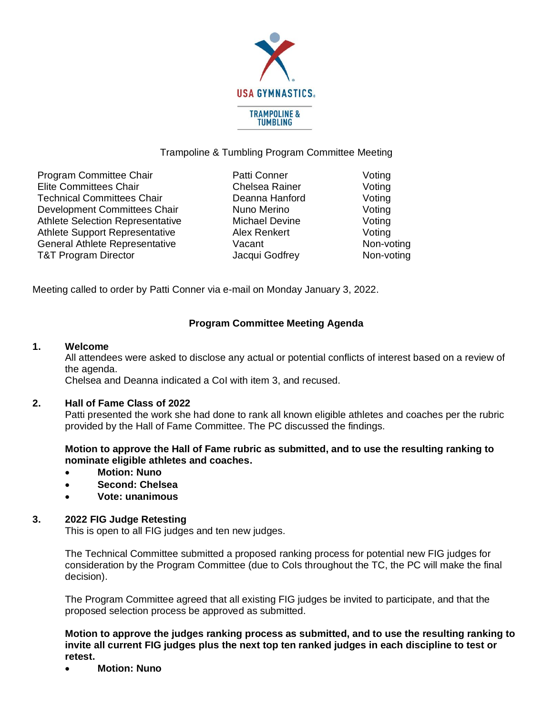

# Trampoline & Tumbling Program Committee Meeting

| Program Committee Chair<br><b>Elite Committees Chair</b>          | Patti Conner<br>Chelsea Rainer | Voting<br>Voting |
|-------------------------------------------------------------------|--------------------------------|------------------|
| <b>Technical Committees Chair</b><br>Development Committees Chair | Deanna Hanford<br>Nuno Merino  | Voting<br>Voting |
| Athlete Selection Representative                                  | <b>Michael Devine</b>          | Voting           |
| <b>Athlete Support Representative</b>                             | Alex Renkert                   | Voting           |
| General Athlete Representative                                    | Vacant                         | Non-voting       |
| <b>T&amp;T Program Director</b>                                   | Jacqui Godfrey                 | Non-voting       |

Meeting called to order by Patti Conner via e-mail on Monday January 3, 2022.

# **Program Committee Meeting Agenda**

### **1. Welcome**

All attendees were asked to disclose any actual or potential conflicts of interest based on a review of the agenda.

Chelsea and Deanna indicated a CoI with item 3, and recused.

## **2. Hall of Fame Class of 2022**

Patti presented the work she had done to rank all known eligible athletes and coaches per the rubric provided by the Hall of Fame Committee. The PC discussed the findings.

**Motion to approve the Hall of Fame rubric as submitted, and to use the resulting ranking to nominate eligible athletes and coaches.**

- **Motion: Nuno**
- **Second: Chelsea**
- **Vote: unanimous**

## **3. 2022 FIG Judge Retesting**

This is open to all FIG judges and ten new judges.

The Technical Committee submitted a proposed ranking process for potential new FIG judges for consideration by the Program Committee (due to CoIs throughout the TC, the PC will make the final decision).

The Program Committee agreed that all existing FIG judges be invited to participate, and that the proposed selection process be approved as submitted.

**Motion to approve the judges ranking process as submitted, and to use the resulting ranking to invite all current FIG judges plus the next top ten ranked judges in each discipline to test or retest.**

• **Motion: Nuno**